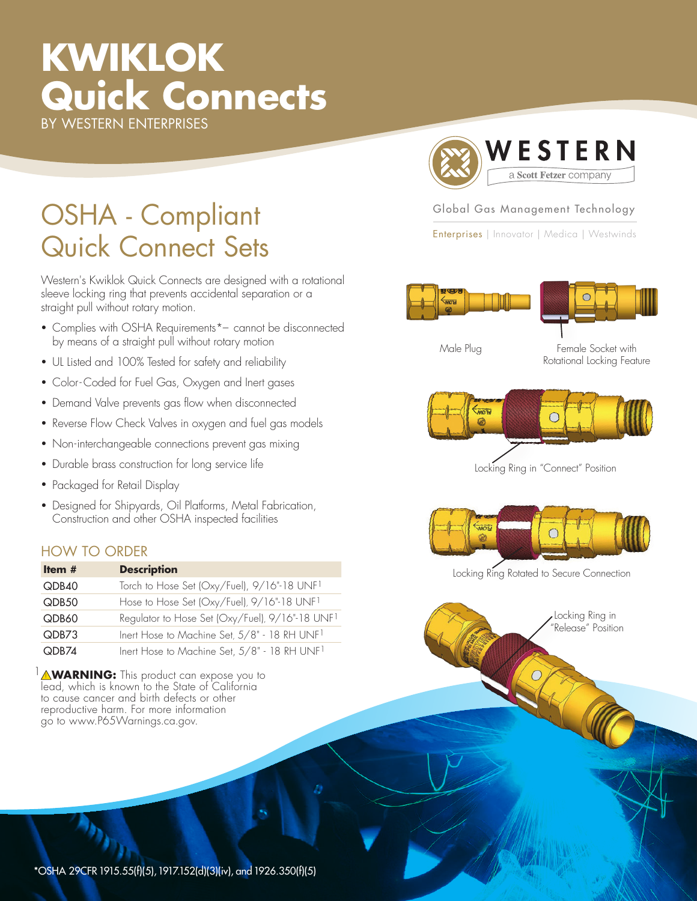# **KWIKLOK Quick Connects** BY WESTERN ENTERPRISES

OSHA - Compliant Quick Connect Sets

Western's Kwiklok Quick Connects are designed with a rotational sleeve locking ring that prevents accidental separation or a straight pull without rotary motion.

- Complies with OSHA Requirements\*– cannot be disconnected by means of a straight pull without rotary motion
- UL Listed and 100% Tested for safety and reliability
- Color-Coded for Fuel Gas, Oxygen and Inert gases
- Demand Valve prevents gas flow when disconnected
- Reverse Flow Check Valves in oxygen and fuel gas models
- Non-interchangeable connections prevent gas mixing
- Durable brass construction for long service life
- Packaged for Retail Display
- Designed for Shipyards, Oil Platforms, Metal Fabrication, Construction and other OSHA inspected facilities

## HOW TO ORDER

| Item $#$ | <b>Description</b>                                          |
|----------|-------------------------------------------------------------|
| QDB40    | Torch to Hose Set (Oxy/Fuel), 9/16"-18 UNF1                 |
| QDB50    | Hose to Hose Set (Oxy/Fuel), 9/16"-18 UNF1                  |
| QDB60    | Regulator to Hose Set (Oxy/Fuel), 9/16"-18 UNF <sup>1</sup> |
| QDB73    | Inert Hose to Machine Set, 5/8" - 18 RH UNF1                |
| QDB74    | Inert Hose to Machine Set, 5/8" - 18 RH UNF1                |

**MARNING:** This product can expose you to lead, which is known to the State of California to cause cancer and birth defects or other reproductive harm. For more information go to www.P65Warnings.ca.gov.



#### Global Gas Management Technology

Enterprises | Innovator | Medica | Westwinds

Male Plug Female Socket with Rotational Locking Feature



Locking Ring in "Connect" Position



Locking Ring Rotated to Secure Connection



\*OSHA 29CFR 1915.55(f)(5), 1917.152(d)(3)(iv), and 1926.350(f)(5)